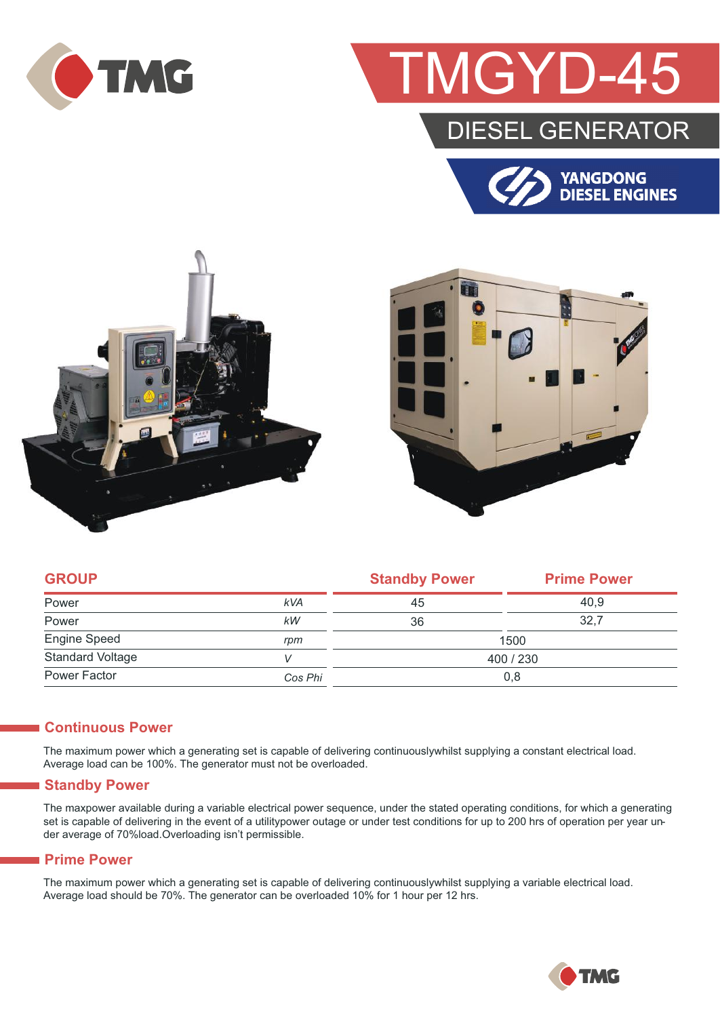

## GYD-4

### DIESEL GENERATOR







| <b>GROUP</b>            |            | <b>Standby Power</b> | <b>Prime Power</b> |  |
|-------------------------|------------|----------------------|--------------------|--|
| Power                   | <b>kVA</b> | 45                   | 40.9               |  |
| Power                   | kW         | 36                   | 32.7               |  |
| <b>Engine Speed</b>     | rpm        | 1500                 |                    |  |
| <b>Standard Voltage</b> |            | 400 / 230            |                    |  |
| Power Factor            | Cos Phi    | 0,8                  |                    |  |

#### **Continuous Power**

The maximum power which a generating set is capable of delivering continuouslywhilst supplying a constant electrical load. Average load can be 100%. The generator must not be overloaded.

#### **Standby Power**

The maxpower available during a variable electrical power sequence, under the stated operating conditions, for which a generating set is capable of delivering in the event of a utilitypower outage or under test conditions for up to 200 hrs of operation per year under average of 70%load.Overloading isn't permissible.

#### **Prime Power**

The maximum power which a generating set is capable of delivering continuouslywhilst supplying a variable electrical load. Average load should be 70%. The generator can be overloaded 10% for 1 hour per 12 hrs.

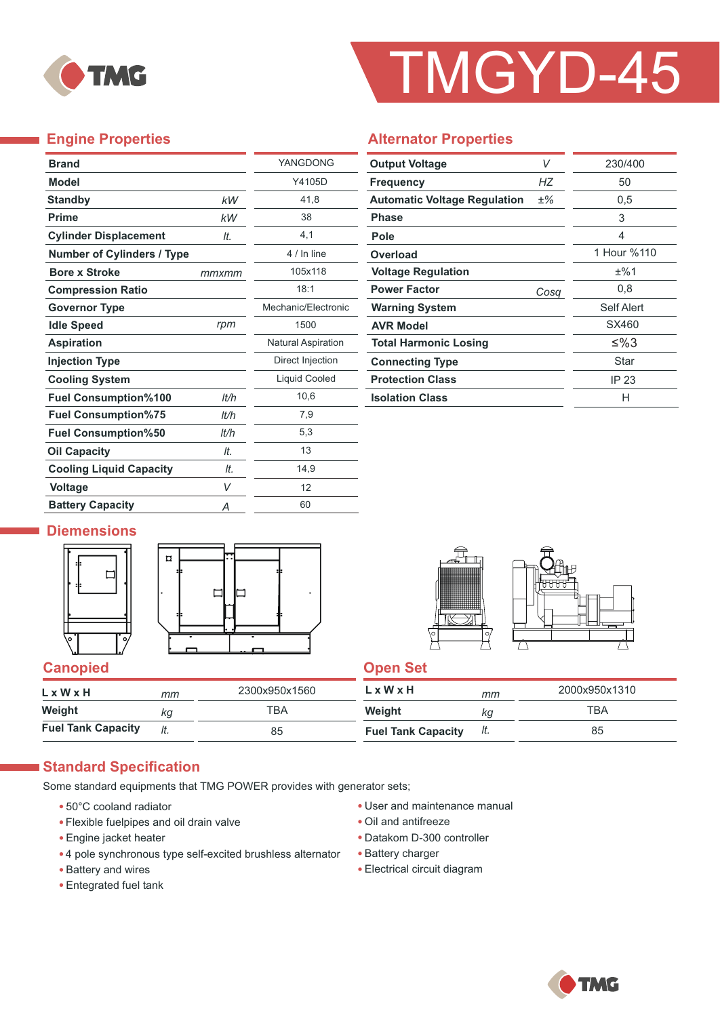

# TMGYD-45

### **Engine Properties**

Ī.

| <b>Brand</b>                      |       | YANGDONG                  |
|-----------------------------------|-------|---------------------------|
| <b>Model</b>                      |       | Y4105D                    |
| <b>Standby</b>                    | kW    | 41,8                      |
| <b>Prime</b>                      | kW    | 38                        |
| <b>Cylinder Displacement</b>      | It.   | 4.1                       |
| <b>Number of Cylinders / Type</b> |       | 4 / In line               |
| <b>Bore x Stroke</b>              | mmxmm | 105x118                   |
| <b>Compression Ratio</b>          |       | 18:1                      |
| <b>Governor Type</b>              |       | Mechanic/Electronic       |
| <b>Idle Speed</b>                 | rpm   | 1500                      |
| <b>Aspiration</b>                 |       | <b>Natural Aspiration</b> |
| <b>Injection Type</b>             |       | Direct Injection          |
| <b>Cooling System</b>             |       | Liquid Cooled             |
| <b>Fuel Consumption%100</b>       | lt/h  | 10,6                      |
| <b>Fuel Consumption%75</b>        | lt/h  | 7,9                       |
| <b>Fuel Consumption%50</b>        | It/h  | 5,3                       |
| <b>Oil Capacity</b>               | It.   | 13                        |
| <b>Cooling Liquid Capacity</b>    | It.   | 14,9                      |
| <b>Voltage</b>                    | V     | 12                        |
| <b>Battery Capacity</b>           | Α     | 60                        |

#### **Alternator Properties**

| <b>Output Voltage</b>               | V    | 230/400     |  |
|-------------------------------------|------|-------------|--|
| <b>Frequency</b>                    | НZ   | 50          |  |
| <b>Automatic Voltage Regulation</b> | ±%   | 0,5         |  |
| <b>Phase</b>                        |      | 3           |  |
| Pole                                |      | 4           |  |
| Overload                            |      | 1 Hour %110 |  |
| <b>Voltage Regulation</b>           |      | ±%1         |  |
| <b>Power Factor</b>                 | Cosa | 0,8         |  |
| <b>Warning System</b>               |      | Self Alert  |  |
| <b>AVR Model</b>                    |      | SX460       |  |
| <b>Total Harmonic Losing</b>        |      | ≤%3         |  |
| <b>Connecting Type</b>              |      | Star        |  |
| <b>Protection Class</b>             |      | IP 23       |  |
| <b>Isolation Class</b>              |      | н           |  |

#### **Diemensions**







| L x W x H                 | mm  | 2300x950x1560 | $L \times W \times H$     | mm  | 2000x950x1310 |
|---------------------------|-----|---------------|---------------------------|-----|---------------|
| Weight                    | ΚG  | TBA           | Weight                    | KQ  | ТВА           |
| <b>Fuel Tank Capacity</b> | lt. | 85            | <b>Fuel Tank Capacity</b> | It. | 85            |

#### **Standard Specification**

Some standard equipments that TMG POWER provides with generator sets;

- 50°C cooland radiator
- Flexible fuelpipes and oil drain valve
- Engine jacket heater
- 4 pole synchronous type self-excited brushless alternator
- Battery and wires
- Entegrated fuel tank
- User and maintenance manual
- Oil and antifreeze
- Datakom D-300 controller
- Battery charger
- Electrical circuit diagram